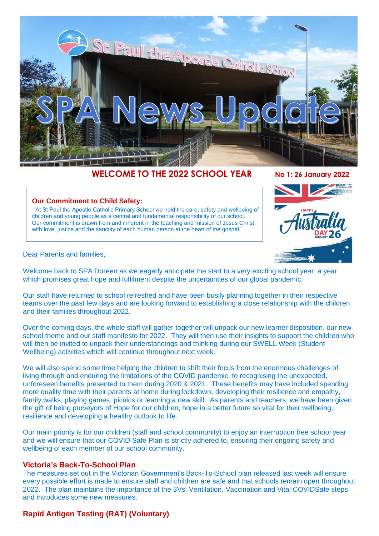

# **WELCOME TO THE 2022 SCHOOL YEAR No 1: 26 January 2022**

#### **Our Commitment to Child Safety:**

"At St Paul the Apostle Catholic Primary School we hold the care, safety and wellbeing of children and young people as a central and fundamental responsibility of our school. Our commitment is drawn from and inherent in the teaching and mission of Jesus Christ, with love, justice and the sanctity of each human person at the heart of the gospel."



Dear Parents and families,

Welcome back to SPA Doreen as we eagerly anticipate the start to a very exciting school year, a year which promises great hope and fulfilment despite the uncertainties of our global pandemic.

Our staff have returned to school refreshed and have been busily planning together in their respective teams over the past few days and are looking forward to establishing a close relationship with the children and their families throughout 2022.

Over the coming days, the whole staff will gather together will unpack our new learner disposition, our new school theme and our staff manifesto for 2022. They will then use their insights to support the children who will then be invited to unpack their understandings and thinking during our SWELL Week (Student Wellbeing) activities which will continue throughout next week.

We will also spend some time helping the children to shift their focus from the enormous challenges of living through and enduring the limitations of the COVID pandemic, to recognising the unexpected, unforeseen benefits presented to them during 2020 & 2021. These benefits may have included spending more quality time with their parents at home during lockdown, developing their resilience and empathy, family walks, playing games, picnics or learning a new skill. As parents and teachers, we have been given the gift of being purveyors of Hope for our children, hope in a better future so vital for their wellbeing, resilience and developing a healthy outlook to life.

Our main priority is for our children (staff and school community) to enjoy an interruption free school year and we will ensure that our COVID Safe Plan is strictly adhered to, ensuring their ongoing safety and wellbeing of each member of our school community.

# **Victoria's Back-To-School Plan**

The measures set out in the Victorian Government's Back-To-School plan released last week will ensure every possible effort is made to ensure staff and children are safe and that schools remain open throughout 2022. The plan maintains the importance of the 3Vs: Ventilation, Vaccination and Vital COVIDSafe steps and introduces some new measures.

# **Rapid Antigen Testing (RAT) (Voluntary)**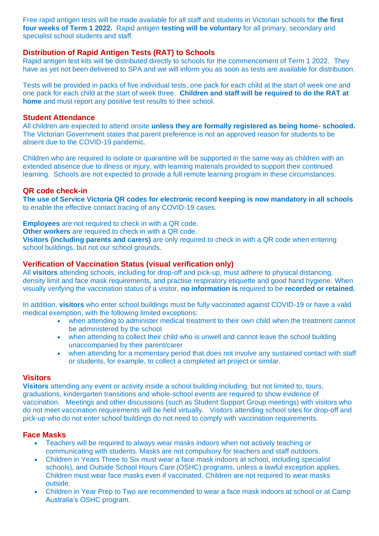Free rapid antigen tests will be made available for all staff and students in Victorian schools for **the first four weeks of Term 1 2022.** Rapid antigen **testing will be voluntary** for all primary, secondary and specialist school students and staff.

# **Distribution of Rapid Antigen Tests (RAT) to Schools**

Rapid antigen test kits will be distributed directly to schools for the commencement of Term 1 2022. They have as yet not been delivered to SPA and we will inform you as soon as tests are available for distribution.

Tests will be provided in packs of five individual tests, one pack for each child at the start of week one and one pack for each child at the start of week three. **Children and staff will be required to do the RAT at home** and must report any positive test results to their school.

# **Student Attendance**

All children are expected to attend onsite **unless they are formally registered as being home- schooled.** The Victorian Government states that parent preference is not an approved reason for students to be absent due to the COVID-19 pandemic.

Children who are required to isolate or quarantine will be supported in the same way as children with an extended absence due to illness or injury, with learning materials provided to support their continued learning. Schools are not expected to provide a full remote learning program in these circumstances.

# **QR code check-in**

**The use of Service Victoria QR codes for electronic record keeping is now mandatory in all schools** to enable the effective contact tracing of any COVID-19 cases.

**Employees** are not required to check in with a QR code.

**Other workers** are required to check in with a QR code.

**Visitors (including parents and carers)** are only required to check in with a QR code when entering school buildings, but not our school grounds.

# **Verification of Vaccination Status (visual verification only)**

All **visitors** attending schools, including for drop-off and pick-up, must adhere to physical distancing, density limit and face mask requirements, and practise respiratory etiquette and good hand hygiene. When visually verifying the vaccination status of a visitor, **no information is** required to be **recorded or retained.**

In addition, **visitors** who enter school buildings must be fully vaccinated against COVID-19 or have a valid medical exemption, with the following limited exceptions:

- when attending to administer medical treatment to their own child when the treatment cannot be administered by the school
- when attending to collect their child who is unwell and cannot leave the school building unaccompanied by their parent/carer
- when attending for a momentary period that does not involve any sustained contact with staff or students, for example, to collect a completed art project or similar.

# **Visitors**

**Visitors** attending any event or activity inside a school building including, but not limited to, tours, graduations, kindergarten transitions and whole-school events are required to show evidence of vaccination. Meetings and other discussions (such as Student Support Group meetings) with visitors who do not meet vaccination requirements will be held virtually. Visitors attending school sites for drop-off and pick-up who do not enter school buildings do not need to comply with vaccination requirements.

# **Face Masks**

- Teachers will be required to always wear masks indoors when not actively teaching or communicating with students. Masks are not compulsory for teachers and staff outdoors.
- Children in Years Three to Six must wear a face mask indoors at school, including specialist schools), and Outside School Hours Care (OSHC) programs, unless a lawful exception applies. Children must wear face masks even if vaccinated. Children are not required to wear masks outside.
- Children in Year Prep to Two are recommended to wear a face mask indoors at school or at Camp Australia's OSHC program.